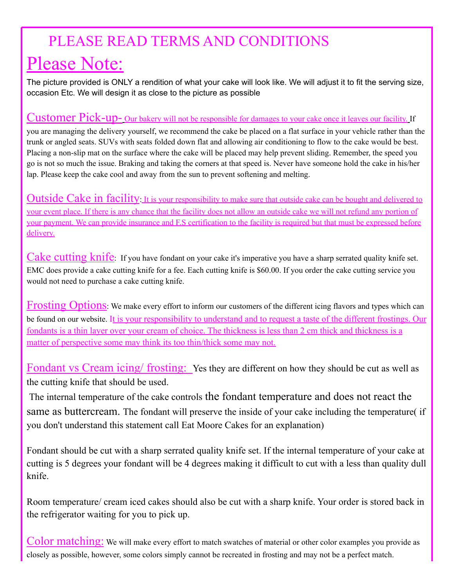## PLEASE READ TERMS AND CONDITIONS

# Please Note:

The picture provided is ONLY a rendition of what your cake will look like. We will adjust it to fit the serving size, occasion Etc. We will design it as close to the picture as possible

#### Customer Pick-up- Our bakery will not be responsible for damages to your cake once it leaves our facility. If

you are managing the delivery yourself, we recommend the cake be placed on a flat surface in your vehicle rather than the trunk or angled seats. SUVs with seats folded down flat and allowing air conditioning to flow to the cake would be best. Placing a non-slip mat on the surface where the cake will be placed may help prevent sliding. Remember, the speed you go is not so much the issue. Braking and taking the corners at that speed is. Never have someone hold the cake in his/her lap. Please keep the cake cool and away from the sun to prevent softening and melting.

Outside Cake in facility. It is your responsibility to make sure that outside cake can be bought and delivered to your event place. If there is any chance that the facility does not allow an outside cake we will not refund any portion of your payment. We can provide insurance and F.S certification to the facility is required but that must be expressed before delivery.

Cake cutting knife: If you have fondant on your cake it's imperative you have a sharp serrated quality knife set. EMC does provide a cake cutting knife for a fee. Each cutting knife is \$60.00. If you order the cake cutting service you would not need to purchase a cake cutting knife.

Frosting Options: We make every effort to inform our customers of the different icing flavors and types which can be found on our website. It is your responsibility to understand and to request a taste of the different frostings. Our fondants is a thin layer over your cream of choice. The thickness is less than 2 cm thick and thickness is a matter of perspective some may think its too thin/thick some may not.

Fondant vs Cream icing/ frosting: Yes they are different on how they should be cut as well as the cutting knife that should be used.

The internal temperature of the cake controls the fondant temperature and does not react the same as buttercream. The fondant will preserve the inside of your cake including the temperature( if you don't understand this statement call Eat Moore Cakes for an explanation)

Fondant should be cut with a sharp serrated quality knife set. If the internal temperature of your cake at cutting is 5 degrees your fondant will be 4 degrees making it difficult to cut with a less than quality dull knife.

Room temperature/ cream iced cakes should also be cut with a sharp knife. Your order is stored back in the refrigerator waiting for you to pick up.

Color matching: We will make every effort to match swatches of material or other color examples you provide as closely as possible, however, some colors simply cannot be recreated in frosting and may not be a perfect match.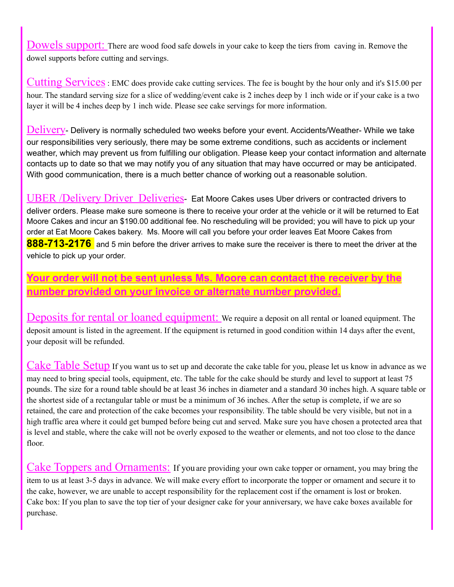Dowels support: There are wood food safe dowels in your cake to keep the tiers from caving in. Remove the dowel supports before cutting and servings.

Cutting Services: EMC does provide cake cutting services. The fee is bought by the hour only and it's \$15.00 per hour. The standard serving size for a slice of wedding/event cake is 2 inches deep by 1 inch wide or if your cake is a two layer it will be 4 inches deep by 1 inch wide. Please see cake servings for more information.

Delivery- Delivery is normally scheduled two weeks before your event. Accidents/Weather- While we take our responsibilities very seriously, there may be some extreme conditions, such as accidents or inclement weather, which may prevent us from fulfilling our obligation. Please keep your contact information and alternate contacts up to date so that we may notify you of any situation that may have occurred or may be anticipated. With good communication, there is a much better chance of working out a reasonable solution.

UBER /Delivery Driver Deliveries- Eat Moore Cakes uses Uber drivers or contracted drivers to deliver orders. Please make sure someone is there to receive your order at the vehicle or it will be returned to Eat Moore Cakes and incur an \$190.00 additional fee. No rescheduling will be provided; you will have to pick up your order at Eat Moore Cakes bakery. Ms. Moore will call you before your order leaves Eat Moore Cakes from **888-713-2176** and 5 min before the driver arrives to make sure the receiver is there to meet the driver at the vehicle to pick up your order.

#### **Your order will not be sent unless Ms. Moore can contact the receiver by the number provided on your invoice or alternate number provided.**

Deposits for rental or loaned equipment: We require a deposit on all rental or loaned equipment. The deposit amount is listed in the agreement. If the equipment is returned in good condition within 14 days after the event, your deposit will be refunded.

Cake Table Setup If you want us to set up and decorate the cake table for you, please let us know in advance as we may need to bring special tools, equipment, etc. The table for the cake should be sturdy and level to support at least 75 pounds. The size for a round table should be at least 36 inches in diameter and a standard 30 inches high. A square table or the shortest side of a rectangular table or must be a minimum of 36 inches. After the setup is complete, if we are so retained, the care and protection of the cake becomes your responsibility. The table should be very visible, but not in a high traffic area where it could get bumped before being cut and served. Make sure you have chosen a protected area that is level and stable, where the cake will not be overly exposed to the weather or elements, and not too close to the dance floor.

Cake Toppers and Ornaments: If you are providing your own cake topper or ornament, you may bring the item to us at least 3-5 days in advance. We will make every effort to incorporate the topper or ornament and secure it to the cake, however, we are unable to accept responsibility for the replacement cost if the ornament is lost or broken. Cake box: If you plan to save the top tier of your designer cake for your anniversary, we have cake boxes available for purchase.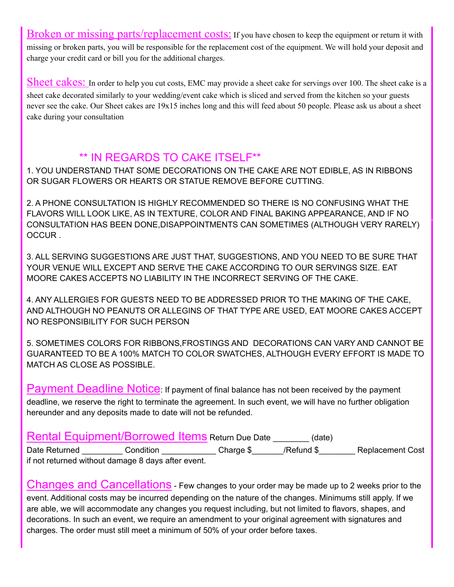Broken or missing parts/replacement costs: If you have chosen to keep the equipment or return it with missing or broken parts, you will be responsible for the replacement cost of the equipment. We will hold your deposit and charge your credit card or bill you for the additional charges.

Sheet cakes: In order to help you cut costs, EMC may provide a sheet cake for servings over 100. The sheet cake is a sheet cake decorated similarly to your wedding/event cake which is sliced and served from the kitchen so your guests never see the cake. Our Sheet cakes are 19x15 inches long and this will feed about 50 people. Please ask us about a sheet cake during your consultation

#### \*\* IN REGARDS TO CAKE ITSELF\*\*

1. YOU UNDERSTAND THAT SOME DECORATIONS ON THE CAKE ARE NOT EDIBLE, AS IN RIBBONS OR SUGAR FLOWERS OR HEARTS OR STATUE REMOVE BEFORE CUTTING.

2. A PHONE CONSULTATION IS HIGHLY RECOMMENDED SO THERE IS NO CONFUSING WHAT THE FLAVORS WILL LOOK LIKE, AS IN TEXTURE, COLOR AND FINAL BAKING APPEARANCE, AND IF NO CONSULTATION HAS BEEN DONE,DISAPPOINTMENTS CAN SOMETIMES (ALTHOUGH VERY RARELY) **OCCUR** 

3. ALL SERVING SUGGESTIONS ARE JUST THAT, SUGGESTIONS, AND YOU NEED TO BE SURE THAT YOUR VENUE WILL EXCEPT AND SERVE THE CAKE ACCORDING TO OUR SERVINGS SIZE. EAT MOORE CAKES ACCEPTS NO LIABILITY IN THE INCORRECT SERVING OF THE CAKE.

4. ANY ALLERGIES FOR GUESTS NEED TO BE ADDRESSED PRIOR TO THE MAKING OF THE CAKE, AND ALTHOUGH NO PEANUTS OR ALLEGINS OF THAT TYPE ARE USED, EAT MOORE CAKES ACCEPT NO RESPONSIBILITY FOR SUCH PERSON

5. SOMETIMES COLORS FOR RIBBONS,FROSTINGS AND DECORATIONS CAN VARY AND CANNOT BE GUARANTEED TO BE A 100% MATCH TO COLOR SWATCHES, ALTHOUGH EVERY EFFORT IS MADE TO MATCH AS CLOSE AS POSSIBLE.

Payment Deadline Notice: If payment of final balance has not been received by the payment deadline, we reserve the right to terminate the agreement. In such event, we will have no further obligation hereunder and any deposits made to date will not be refunded.

|               | Rental Equipment/Borrowed Items Return Due Date    |           | (date)     |                         |
|---------------|----------------------------------------------------|-----------|------------|-------------------------|
| Date Returned | Condition                                          | Charge \$ | /Refund \$ | <b>Replacement Cost</b> |
|               | if not returned without damage 8 days after event. |           |            |                         |

Changes and Cancellations - Few changes to your order may be made up to <sup>2</sup> weeks prior to the event. Additional costs may be incurred depending on the nature of the changes. Minimums still apply. If we are able, we will accommodate any changes you request including, but not limited to flavors, shapes, and decorations. In such an event, we require an amendment to your original agreement with signatures and charges. The order must still meet a minimum of 50% of your order before taxes.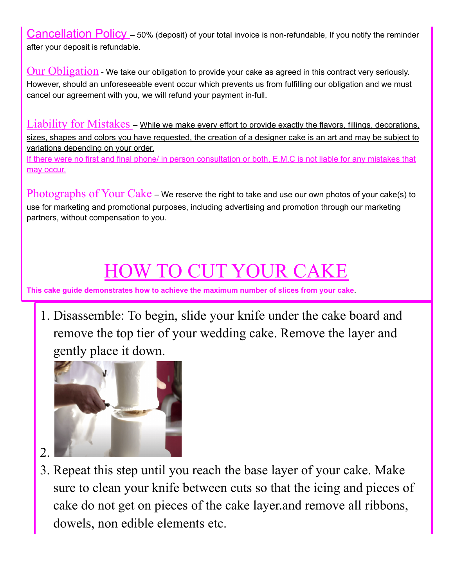Cancellation Policy - 50% (deposit) of your total invoice is non-refundable, If you notify the reminder after your deposit is refundable.

 $Our **Obligation**$  - We take our obligation to provide your cake as agreed in this contract very seriously. However, should an unforeseeable event occur which prevents us from fulfilling our obligation and we must cancel our agreement with you, we will refund your payment in-full.

Liability for Mistakes – while we make every effort to provide exactly the flavors, fillings, decorations, sizes, shapes and colors you have requested, the creation of a designer cake is an art and may be subject to variations depending on your order.

If there were no first and final phone/ in person consultation or both, E.M.C is not liable for any mistakes that may occur.

 $Photographs$  of  $Your$   $Cake$  – We reserve the right to take and use our own photos of your cake(s) to use for marketing and promotional purposes, including advertising and promotion through our marketing partners, without compensation to you.

# IOW TO CUT YOUR C

**This cake guide demonstrates how to achieve the maximum number of slices from your cake**.

1. Disassemble: To begin, slide your knife under the cake board and remove the top tier of your wedding cake. Remove the layer and gently place it down.



- 2.
- 3. Repeat this step until you reach the base layer of your cake. Make sure to clean your knife between cuts so that the icing and pieces of cake do not get on pieces of the cake layer.and remove all ribbons, dowels, non edible elements etc.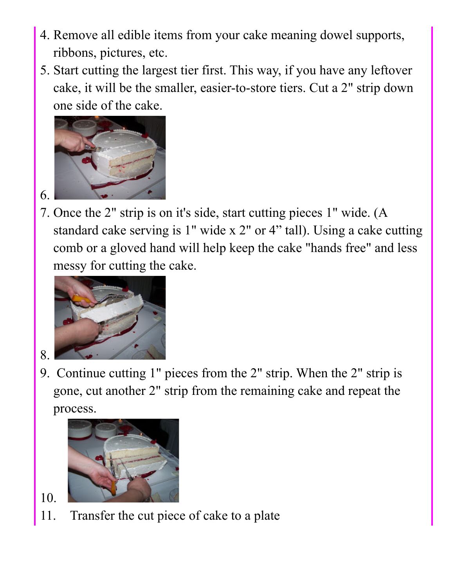- 4. Remove all edible items from your cake meaning dowel supports, ribbons, pictures, etc.
- 5. Start cutting the largest tier first. This way, if you have any leftover cake, it will be the smaller, easier-to-store tiers. Cut a 2" strip down one side of the cake.



7. Once the 2" strip is on it's side, start cutting pieces 1" wide. (A standard cake serving is 1" wide x 2" or 4" tall). Using a cake cutting comb or a gloved hand will help keep the cake "hands free" and less messy for cutting the cake.



8.

6.

9. Continue cutting 1" pieces from the 2" strip. When the 2" strip is gone, cut another 2" strip from the remaining cake and repeat the process.



- 10.
- 11. Transfer the cut piece of cake to a plate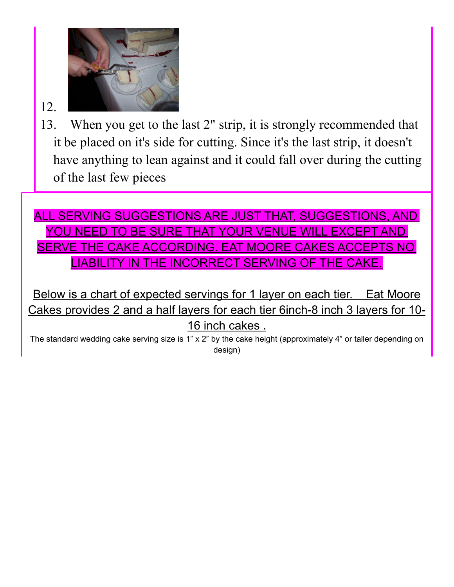

## 12.

13. When you get to the last 2" strip, it is strongly recommended that it be placed on it's side for cutting. Since it's the last strip, it doesn't have anything to lean against and it could fall over during the cutting of the last few pieces

## ALL SERVING SUGGESTIONS ARE JUST THAT, SUGGESTIONS, AND YOU NEED TO BE SURE THAT YOUR VENUE WILL EXCEPT AND SERVE THE CAKE ACCORDING. EAT MOORE CAKES ACCEPTS NO LIABILITY IN THE INCORRECT SERVING OF THE CAKE.

Below is a chart of expected servings for 1 layer on each tier. Eat Moore Cakes provides 2 and a half layers for each tier 6inch-8 inch 3 layers for 10- 16 inch cakes .

The standard wedding cake serving size is 1" x 2" by the cake height (approximately 4" or taller depending on design)